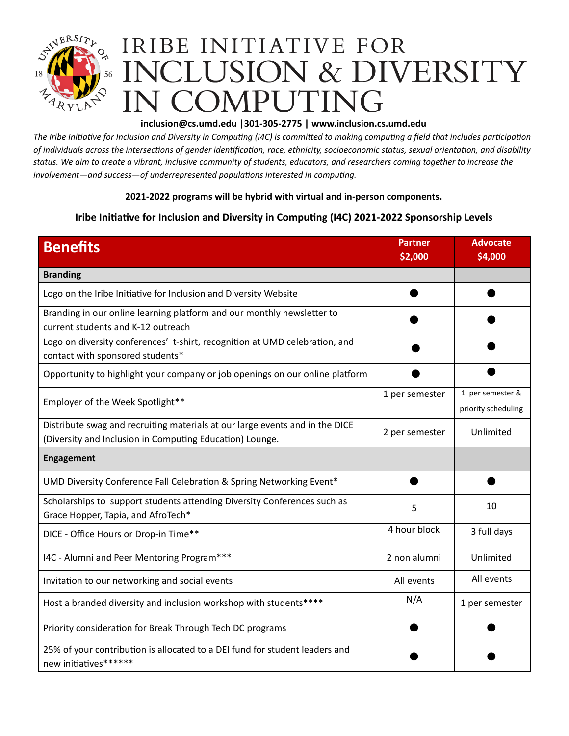

## **[inclusion@cs.umd.edu](mailto:inclusion@cs.umd.edu) |301-305-2775 | www.inclusion.cs.umd.edu**

The Iribe Initiative for Inclusion and Diversity in Computing (I4C) is committed to making computing a field that includes participation of individuals across the intersections of gender identification, race, ethnicity, socioeconomic status, sexual orientation, and disability status. We aim to create a vibrant, inclusive community of students, educators, and researchers coming together to increase the *involvement—and success—of underrepresented populations interested in computing.*

## **2021-2022 programs will be hybrid with virtual and in-person components.**

## **Iribe Initiative for Inclusion and Diversity in Computing (I4C) 2021-2022 Sponsorship Levels**

| <b>Benefits</b>                                                                                                                          | <b>Partner</b><br>\$2,000 | <b>Advocate</b><br>\$4,000              |
|------------------------------------------------------------------------------------------------------------------------------------------|---------------------------|-----------------------------------------|
| <b>Branding</b>                                                                                                                          |                           |                                         |
| Logo on the Iribe Initiative for Inclusion and Diversity Website                                                                         |                           |                                         |
| Branding in our online learning platform and our monthly newsletter to<br>current students and K-12 outreach                             |                           |                                         |
| Logo on diversity conferences' t-shirt, recognition at UMD celebration, and<br>contact with sponsored students*                          |                           |                                         |
| Opportunity to highlight your company or job openings on our online platform                                                             |                           |                                         |
| Employer of the Week Spotlight**                                                                                                         | 1 per semester            | 1 per semester &<br>priority scheduling |
| Distribute swag and recruiting materials at our large events and in the DICE<br>(Diversity and Inclusion in Computing Education) Lounge. | 2 per semester            | Unlimited                               |
| <b>Engagement</b>                                                                                                                        |                           |                                         |
| UMD Diversity Conference Fall Celebration & Spring Networking Event*                                                                     |                           |                                         |
| Scholarships to support students attending Diversity Conferences such as<br>Grace Hopper, Tapia, and AfroTech*                           | 5                         | 10                                      |
| DICE - Office Hours or Drop-in Time**                                                                                                    | 4 hour block              | 3 full days                             |
| I4C - Alumni and Peer Mentoring Program***                                                                                               | 2 non alumni              | Unlimited                               |
| Invitation to our networking and social events                                                                                           | All events                | All events                              |
| Host a branded diversity and inclusion workshop with students****                                                                        | N/A                       | 1 per semester                          |
| Priority consideration for Break Through Tech DC programs                                                                                |                           |                                         |
| 25% of your contribution is allocated to a DEI fund for student leaders and<br>new initiatives******                                     |                           |                                         |